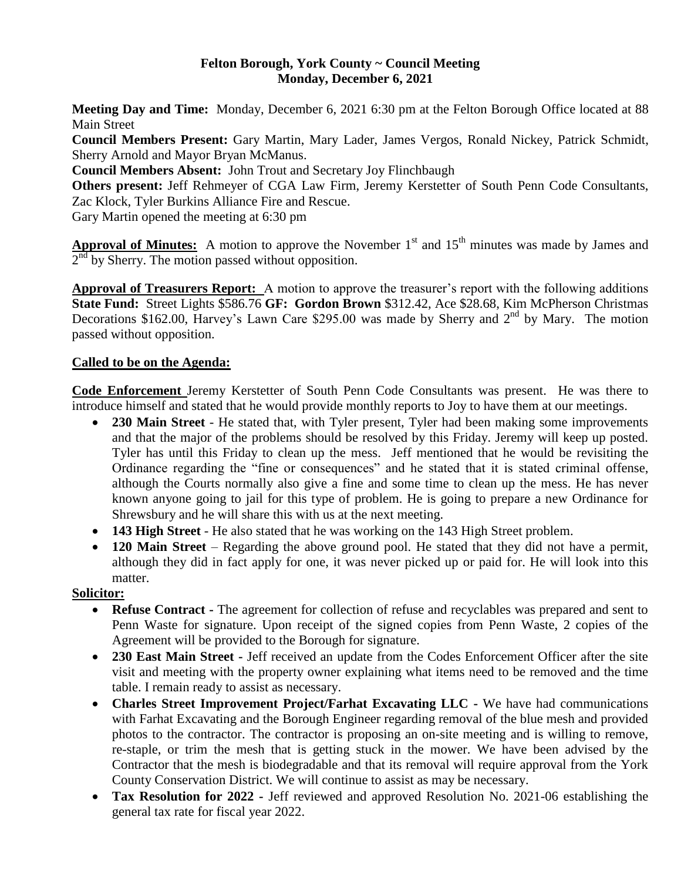### **Felton Borough, York County ~ Council Meeting Monday, December 6, 2021**

**Meeting Day and Time:** Monday, December 6, 2021 6:30 pm at the Felton Borough Office located at 88 Main Street

**Council Members Present:** Gary Martin, Mary Lader, James Vergos, Ronald Nickey, Patrick Schmidt, Sherry Arnold and Mayor Bryan McManus.

**Council Members Absent:** John Trout and Secretary Joy Flinchbaugh

**Others present:** Jeff Rehmeyer of CGA Law Firm, Jeremy Kerstetter of South Penn Code Consultants, Zac Klock, Tyler Burkins Alliance Fire and Rescue.

Gary Martin opened the meeting at 6:30 pm

**Approval of Minutes:** A motion to approve the November 1<sup>st</sup> and 15<sup>th</sup> minutes was made by James and  $2<sup>nd</sup>$  by Sherry. The motion passed without opposition.

**Approval of Treasurers Report:** A motion to approve the treasurer's report with the following additions **State Fund:** Street Lights \$586.76 **GF: Gordon Brown** \$312.42, Ace \$28.68, Kim McPherson Christmas Decorations \$162.00, Harvey's Lawn Care \$295.00 was made by Sherry and  $2<sup>nd</sup>$  by Mary. The motion passed without opposition.

# **Called to be on the Agenda:**

**Code Enforcement** Jeremy Kerstetter of South Penn Code Consultants was present. He was there to introduce himself and stated that he would provide monthly reports to Joy to have them at our meetings.

- **230 Main Street** He stated that, with Tyler present, Tyler had been making some improvements and that the major of the problems should be resolved by this Friday. Jeremy will keep up posted. Tyler has until this Friday to clean up the mess. Jeff mentioned that he would be revisiting the Ordinance regarding the "fine or consequences" and he stated that it is stated criminal offense, although the Courts normally also give a fine and some time to clean up the mess. He has never known anyone going to jail for this type of problem. He is going to prepare a new Ordinance for Shrewsbury and he will share this with us at the next meeting.
- **143 High Street** He also stated that he was working on the 143 High Street problem.
- 120 Main Street Regarding the above ground pool. He stated that they did not have a permit, although they did in fact apply for one, it was never picked up or paid for. He will look into this matter.

## **Solicitor:**

- **Refuse Contract -** The agreement for collection of refuse and recyclables was prepared and sent to Penn Waste for signature. Upon receipt of the signed copies from Penn Waste, 2 copies of the Agreement will be provided to the Borough for signature.
- **230 East Main Street -** Jeff received an update from the Codes Enforcement Officer after the site visit and meeting with the property owner explaining what items need to be removed and the time table. I remain ready to assist as necessary.
- **Charles Street Improvement Project/Farhat Excavating LLC -** We have had communications with Farhat Excavating and the Borough Engineer regarding removal of the blue mesh and provided photos to the contractor. The contractor is proposing an on-site meeting and is willing to remove, re-staple, or trim the mesh that is getting stuck in the mower. We have been advised by the Contractor that the mesh is biodegradable and that its removal will require approval from the York County Conservation District. We will continue to assist as may be necessary.
- **Tax Resolution for 2022 -** Jeff reviewed and approved Resolution No. 2021-06 establishing the general tax rate for fiscal year 2022.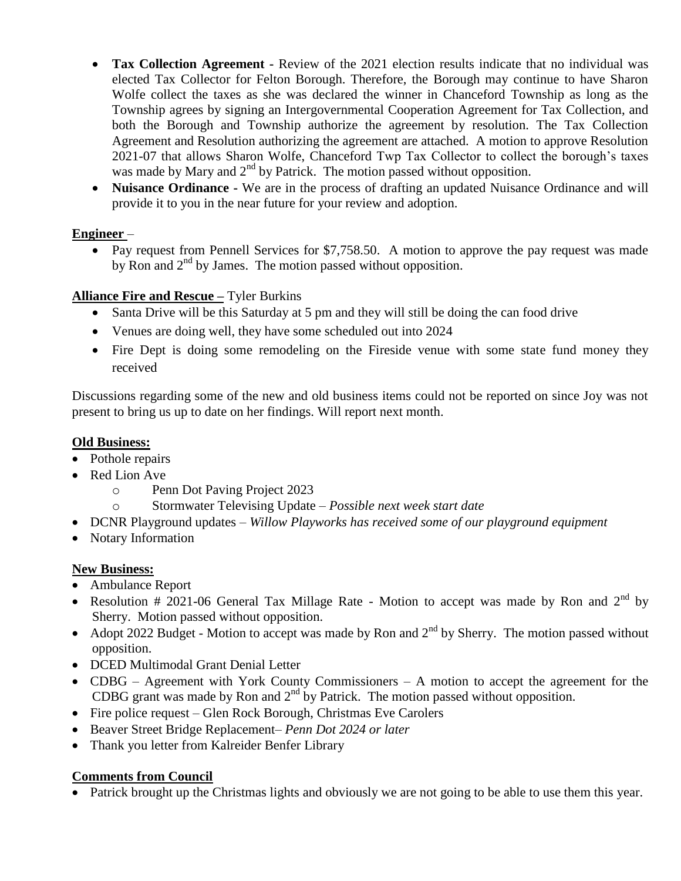- **Tax Collection Agreement -** Review of the 2021 election results indicate that no individual was elected Tax Collector for Felton Borough. Therefore, the Borough may continue to have Sharon Wolfe collect the taxes as she was declared the winner in Chanceford Township as long as the Township agrees by signing an Intergovernmental Cooperation Agreement for Tax Collection, and both the Borough and Township authorize the agreement by resolution. The Tax Collection Agreement and Resolution authorizing the agreement are attached. A motion to approve Resolution 2021-07 that allows Sharon Wolfe, Chanceford Twp Tax Collector to collect the borough's taxes was made by Mary and  $2<sup>nd</sup>$  by Patrick. The motion passed without opposition.
- **Nuisance Ordinance -** We are in the process of drafting an updated Nuisance Ordinance and will provide it to you in the near future for your review and adoption.

# **Engineer** –

• Pay request from Pennell Services for \$7,758.50. A motion to approve the pay request was made by Ron and  $2<sup>nd</sup>$  by James. The motion passed without opposition.

# **Alliance Fire and Rescue –** Tyler Burkins

- Santa Drive will be this Saturday at 5 pm and they will still be doing the can food drive
- Venues are doing well, they have some scheduled out into 2024
- Fire Dept is doing some remodeling on the Fireside venue with some state fund money they received

Discussions regarding some of the new and old business items could not be reported on since Joy was not present to bring us up to date on her findings. Will report next month.

## **Old Business:**

- Pothole repairs
- Red Lion Ave
	- o Penn Dot Paving Project 2023
	- o Stormwater Televising Update *Possible next week start date*
- DCNR Playground updates *Willow Playworks has received some of our playground equipment*
- Notary Information

## **New Business:**

- Ambulance Report
- Resolution # 2021-06 General Tax Millage Rate Motion to accept was made by Ron and  $2^{nd}$  by Sherry. Motion passed without opposition.
- Adopt 2022 Budget Motion to accept was made by Ron and  $2^{nd}$  by Sherry. The motion passed without opposition.
- DCED Multimodal Grant Denial Letter
- CDBG Agreement with York County Commissioners A motion to accept the agreement for the CDBG grant was made by Ron and  $2<sup>nd</sup>$  by Patrick. The motion passed without opposition.
- Fire police request Glen Rock Borough, Christmas Eve Carolers
- Beaver Street Bridge Replacement– *Penn Dot 2024 or later*
- Thank you letter from Kalreider Benfer Library

## **Comments from Council**

Patrick brought up the Christmas lights and obviously we are not going to be able to use them this year.